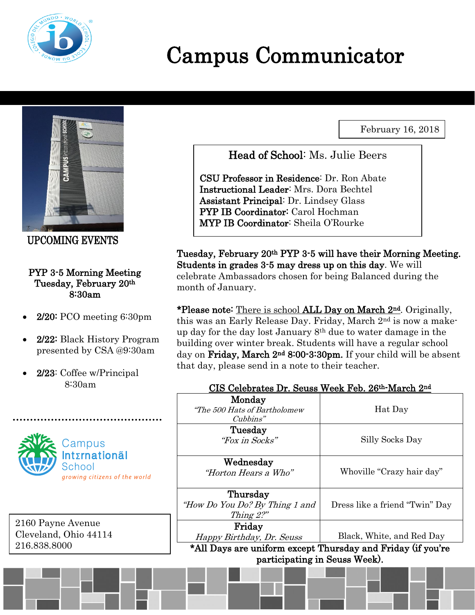

# Campus Communicator

February 16, 2018



UPCOMING EVENTS

#### PYP 3-5 Morning Meeting Tuesday, February 20th 8:30am

- 2/20: PCO meeting 6:30pm
- 2/22: Black History Program presented by CSA @9:30am
- 2/23: Coffee w/Principal 8:30am



2160 Payne Avenue Cleveland, Ohio 44114 216.838.8000

Head of School: Ms. Julie Beers

CSU Professor in Residence: Dr. Ron Abate Instructional Leader: Mrs. Dora Bechtel Assistant Principal: Dr. Lindsey Glass PYP IB Coordinator: Carol Hochman MYP IB Coordinator: Sheila O'Rourke

Tuesday, February 20th PYP 3-5 will have their Morning Meeting. Students in grades 3-5 may dress up on this day. We will celebrate Ambassadors chosen for being Balanced during the month of January.

\*Please note: There is school ALL Day on March 2<sup>nd</sup>. Originally, this was an Early Release Day. Friday, March 2nd is now a makeup day for the day lost January 8th due to water damage in the building over winter break. Students will have a regular school day on Friday, March 2<sup>nd</sup> 8:00-3:30pm. If your child will be absent that day, please send in a note to their teacher.

#### CIS Celebrates Dr. Seuss Week Feb. 26th-March 2nd

|                               | Monday<br>"The 500 Hats of Bartholomew<br>Cubbins"                                                 | Hat Day                        |
|-------------------------------|----------------------------------------------------------------------------------------------------|--------------------------------|
|                               | Tuesday<br>"Fox in Socks"                                                                          | Silly Socks Day                |
|                               | Wednesday<br>"Horton Hears a Who"                                                                  | Whoville "Crazy hair day"      |
|                               | Thursday<br>"How Do You Do? By Thing 1 and<br>Thing $2$ ?"                                         | Dress like a friend "Twin" Day |
|                               | Friday<br>Happy Birthday, Dr. Seuss<br>*All Days are uniform except Thursday and Friday (if you're | Black, White, and Red Day      |
| participating in Seuss Week). |                                                                                                    |                                |